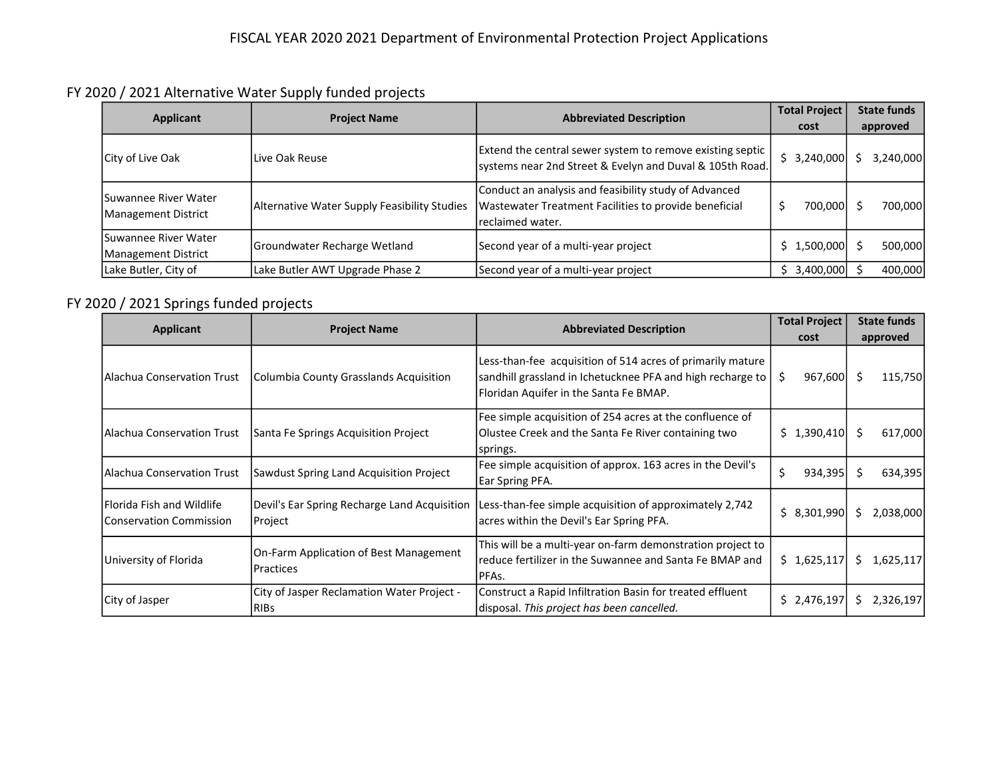FY 2020 / 2021 Alternative Water Supply funded projects

| Applicant                                   | <b>Project Name</b>                          | <b>Abbreviated Description</b>                                                                                                      | <b>Total Project</b><br>cost | <b>State funds</b><br>approved |
|---------------------------------------------|----------------------------------------------|-------------------------------------------------------------------------------------------------------------------------------------|------------------------------|--------------------------------|
| <b>City of Live Oak</b>                     | Live Oak Reuse                               | Extend the central sewer system to remove existing septic<br>systems near 2nd Street & Evelyn and Duval & 105th Road.               | \$3,240,000                  | 3,240,000                      |
| Suwannee River Water<br>Management District | Alternative Water Supply Feasibility Studies | Conduct an analysis and feasibility study of Advanced<br>Wastewater Treatment Facilities to provide beneficial<br>Ireclaimed water. | 700,000                      | 700,000                        |
| Suwannee River Water<br>Management District | Groundwater Recharge Wetland                 | Second year of a multi-year project                                                                                                 | \$1,500,000]                 | 500,000                        |
| Lake Butler, City of                        | Lake Butler AWT Upgrade Phase 2              | Second year of a multi-year project                                                                                                 | \$3,400,000                  | 400,000                        |

## FY 2020 / 2021 Springs funded projects

|                                                              | <b>Project Name</b>                                       | <b>Abbreviated Description</b>                                                                                                                                     | <b>Total Project</b> | <b>State funds</b> |
|--------------------------------------------------------------|-----------------------------------------------------------|--------------------------------------------------------------------------------------------------------------------------------------------------------------------|----------------------|--------------------|
| Applicant                                                    |                                                           |                                                                                                                                                                    | cost                 | approved           |
| <b>IAlachua Conservation Trust</b>                           | Columbia County Grasslands Acquisition                    | Less-than-fee acquisition of 514 acres of primarily mature<br>sandhill grassland in Ichetucknee PFA and high recharge to<br>Floridan Aquifer in the Santa Fe BMAP. | 967,600<br>S         | 115,750<br>-S      |
| Alachua Conservation Trust                                   | Santa Fe Springs Acquisition Project                      | Fee simple acquisition of 254 acres at the confluence of<br>Olustee Creek and the Santa Fe River containing two<br>springs.                                        | $$1,390,410$ \$      | 617,000            |
| l Alachua Conservation Trust                                 | Sawdust Spring Land Acquisition Project                   | Fee simple acquisition of approx. 163 acres in the Devil's<br>Ear Spring PFA.                                                                                      | \$<br>934,395        | Ŝ<br>634,395       |
| Florida Fish and Wildlife<br><b>IConservation Commission</b> | Devil's Ear Spring Recharge Land Acquisition<br>Project   | Less-than-fee simple acquisition of approximately 2,742<br>acres within the Devil's Ear Spring PFA.                                                                | \$8,301,990          | \$<br>2,038,000    |
| University of Florida                                        | On-Farm Application of Best Management<br>Practices       | This will be a multi-year on-farm demonstration project to<br>reduce fertilizer in the Suwannee and Santa Fe BMAP and<br>PFFAs.                                    | \$1,625,117          | Ś.<br>1,625,117    |
| City of Jasper                                               | City of Jasper Reclamation Water Project -<br><b>RIBs</b> | Construct a Rapid Infiltration Basin for treated effluent<br>disposal. This project has been cancelled.                                                            | \$2,476,197          | 2,326,197<br>S     |